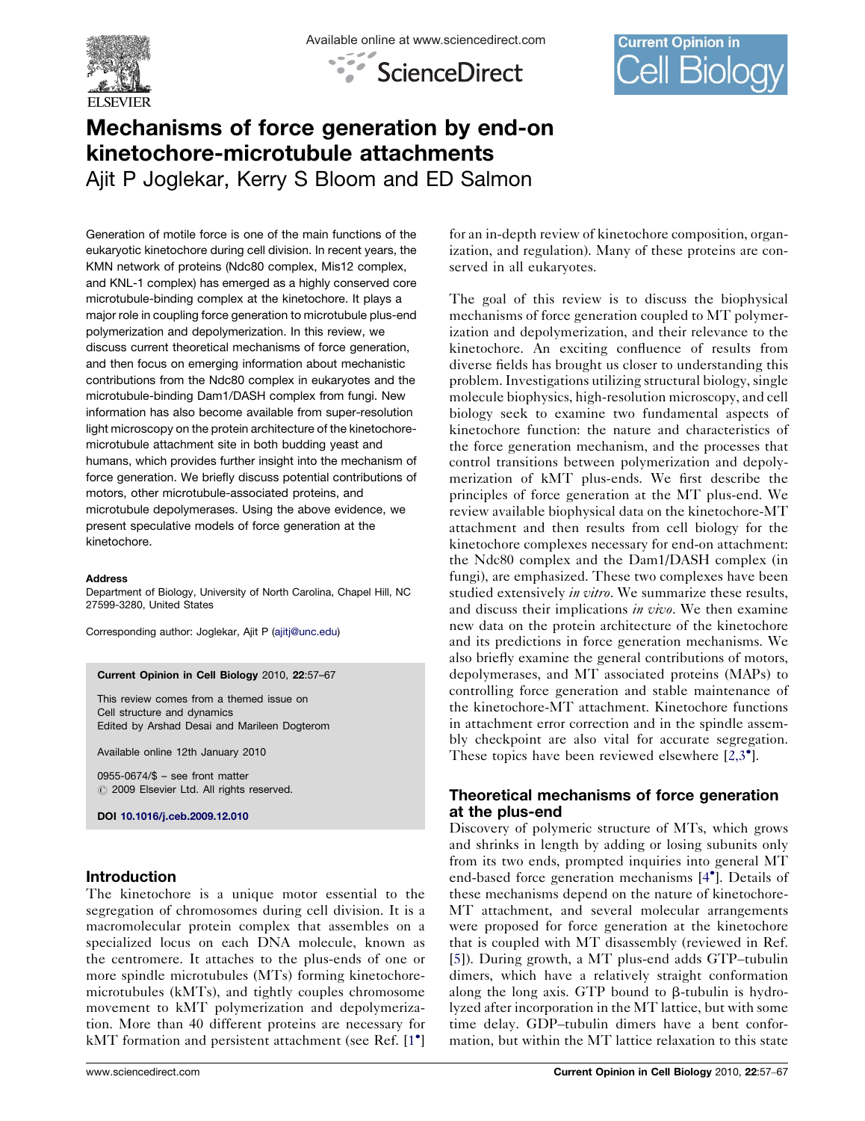





# Mechanisms of force generation by end-on kinetochore-microtubule attachments

Ajit P Joglekar, Kerry S Bloom and ED Salmon

Generation of motile force is one of the main functions of the eukaryotic kinetochore during cell division. In recent years, the KMN network of proteins (Ndc80 complex, Mis12 complex, and KNL-1 complex) has emerged as a highly conserved core microtubule-binding complex at the kinetochore. It plays a major role in coupling force generation to microtubule plus-end polymerization and depolymerization. In this review, we discuss current theoretical mechanisms of force generation, and then focus on emerging information about mechanistic contributions from the Ndc80 complex in eukaryotes and the microtubule-binding Dam1/DASH complex from fungi. New information has also become available from super-resolution light microscopy on the protein architecture of the kinetochoremicrotubule attachment site in both budding yeast and humans, which provides further insight into the mechanism of force generation. We briefly discuss potential contributions of motors, other microtubule-associated proteins, and microtubule depolymerases. Using the above evidence, we present speculative models of force generation at the kinetochore.

#### Address

Department of Biology, University of North Carolina, Chapel Hill, NC 27599-3280, United States

Corresponding author: Joglekar, Ajit P ([ajitj@unc.edu\)](mailto:ajitj@unc.edu)

#### Current Opinion in Cell Biology 2010, 22:57–67

This review comes from a themed issue on Cell structure and dynamics Edited by Arshad Desai and Marileen Dogterom

Available online 12th January 2010

0955-0674/\$ – see front matter  $\circ$  2009 Elsevier Ltd. All rights reserved.

DOI [10.1016/j.ceb.2009.12.010](http://dx.doi.org/10.1016/j.ceb.2009.12.010)

### Introduction

The kinetochore is a unique motor essential to the segregation of chromosomes during cell division. It is a macromolecular protein complex that assembles on a specialized locus on each DNA molecule, known as the centromere. It attaches to the plus-ends of one or more spindle microtubules (MTs) forming kinetochoremicrotubules (kMTs), and tightly couples chromosome movement to kMT polymerization and depolymerization. More than 40 different proteins are necessary for kMT formation and persistent attachment (see Ref. [\[1](#page-7-0)<sup>°</sup>]

for an in-depth review of kinetochore composition, organization, and regulation). Many of these proteins are conserved in all eukaryotes.

The goal of this review is to discuss the biophysical mechanisms of force generation coupled to MT polymerization and depolymerization, and their relevance to the kinetochore. An exciting confluence of results from diverse fields has brought us closer to understanding this problem. Investigations utilizing structural biology, single molecule biophysics, high-resolution microscopy, and cell biology seek to examine two fundamental aspects of kinetochore function: the nature and characteristics of the force generation mechanism, and the processes that control transitions between polymerization and depolymerization of kMT plus-ends. We first describe the principles of force generation at the MT plus-end. We review available biophysical data on the kinetochore-MT attachment and then results from cell biology for the kinetochore complexes necessary for end-on attachment: the Ndc80 complex and the Dam1/DASH complex (in fungi), are emphasized. These two complexes have been studied extensively *in vitro*. We summarize these results, and discuss their implications in vivo. We then examine new data on the protein architecture of the kinetochore and its predictions in force generation mechanisms. We also briefly examine the general contributions of motors, depolymerases, and MT associated proteins (MAPs) to controlling force generation and stable maintenance of the kinetochore-MT attachment. Kinetochore functions in attachment error correction and in the spindle assembly checkpoint are also vital for accurate segregation. These topics have been reviewed elsewhere  $\left[\overline{2},3^{\bullet}\right]$ .

### Theoretical mechanisms of force generation at the plus-end

Discovery of polymeric structure of MTs, which grows and shrinks in length by adding or losing subunits only from its two ends, prompted inquiries into general MT end-based force generation mechanisms [[4](#page-8-0)°]. Details of these mechanisms depend on the nature of kinetochore-MT attachment, and several molecular arrangements were proposed for force generation at the kinetochore that is coupled with MT disassembly (reviewed in Ref. [[5](#page-8-0)]). During growth, a MT plus-end adds GTP–tubulin dimers, which have a relatively straight conformation along the long axis. GTP bound to  $\beta$ -tubulin is hydrolyzed after incorporation in the MT lattice, but with some time delay. GDP–tubulin dimers have a bent conformation, but within the MT lattice relaxation to this state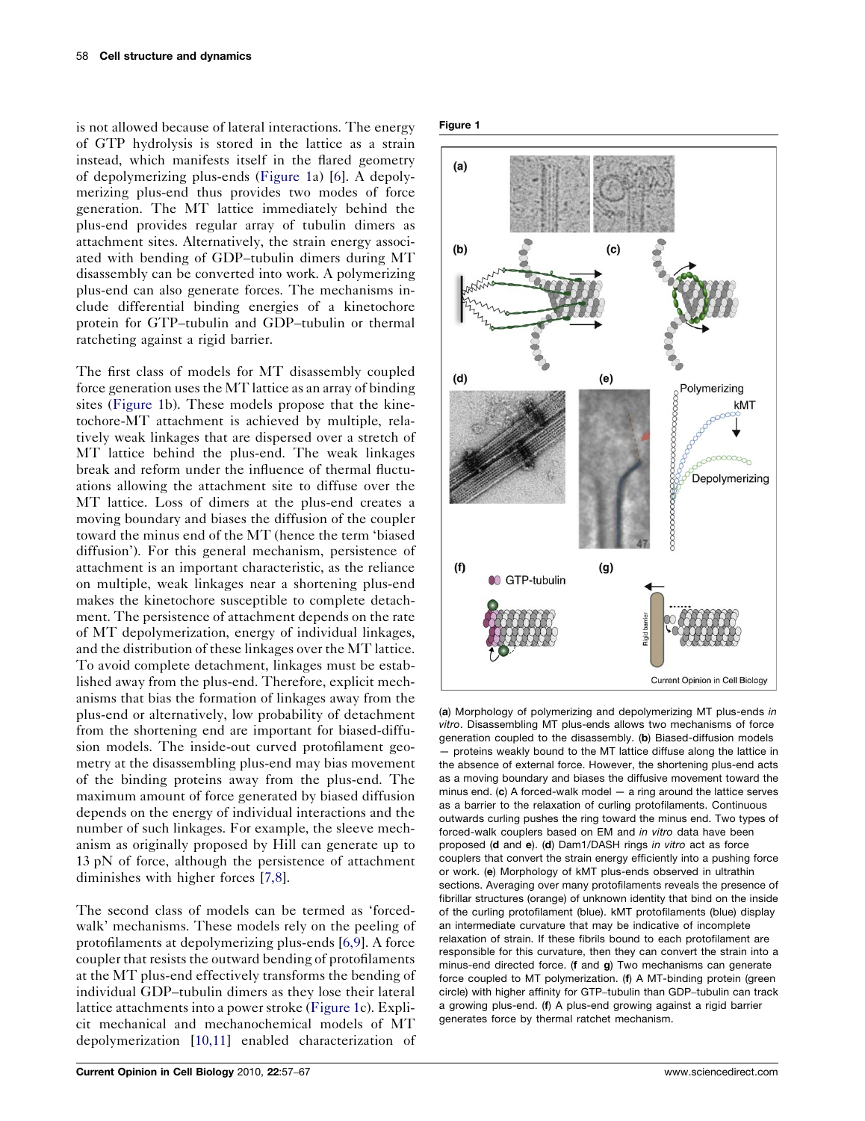<span id="page-1-0"></span>is not allowed because of lateral interactions. The energy of GTP hydrolysis is stored in the lattice as a strain instead, which manifests itself in the flared geometry of depolymerizing plus-ends (Figure 1a) [[6\]](#page-8-0). A depolymerizing plus-end thus provides two modes of force generation. The MT lattice immediately behind the plus-end provides regular array of tubulin dimers as attachment sites. Alternatively, the strain energy associated with bending of GDP–tubulin dimers during MT disassembly can be converted into work. A polymerizing plus-end can also generate forces. The mechanisms include differential binding energies of a kinetochore protein for GTP–tubulin and GDP–tubulin or thermal ratcheting against a rigid barrier.

The first class of models for MT disassembly coupled force generation uses the MT lattice as an array of binding sites (Figure 1b). These models propose that the kinetochore-MT attachment is achieved by multiple, relatively weak linkages that are dispersed over a stretch of MT lattice behind the plus-end. The weak linkages break and reform under the influence of thermal fluctuations allowing the attachment site to diffuse over the MT lattice. Loss of dimers at the plus-end creates a moving boundary and biases the diffusion of the coupler toward the minus end of the MT (hence the term 'biased diffusion'). For this general mechanism, persistence of attachment is an important characteristic, as the reliance on multiple, weak linkages near a shortening plus-end makes the kinetochore susceptible to complete detachment. The persistence of attachment depends on the rate of MT depolymerization, energy of individual linkages, and the distribution of these linkages over the MT lattice. To avoid complete detachment, linkages must be established away from the plus-end. Therefore, explicit mechanisms that bias the formation of linkages away from the plus-end or alternatively, low probability of detachment from the shortening end are important for biased-diffusion models. The inside-out curved protofilament geometry at the disassembling plus-end may bias movement of the binding proteins away from the plus-end. The maximum amount of force generated by biased diffusion depends on the energy of individual interactions and the number of such linkages. For example, the sleeve mechanism as originally proposed by Hill can generate up to 13 pN of force, although the persistence of attachment diminishes with higher forces [\[7,8\]](#page-8-0).

The second class of models can be termed as 'forcedwalk' mechanisms. These models rely on the peeling of protofilaments at depolymerizing plus-ends [[6,9](#page-8-0)]. A force coupler that resists the outward bending of protofilaments at the MT plus-end effectively transforms the bending of individual GDP–tubulin dimers as they lose their lateral lattice attachments into a power stroke (Figure 1c). Explicit mechanical and mechanochemical models of MT depolymerization [\[10,11\]](#page-8-0) enabled characterization of





(a) Morphology of polymerizing and depolymerizing MT plus-ends in vitro. Disassembling MT plus-ends allows two mechanisms of force generation coupled to the disassembly. (b) Biased-diffusion models — proteins weakly bound to the MT lattice diffuse along the lattice in the absence of external force. However, the shortening plus-end acts as a moving boundary and biases the diffusive movement toward the minus end. (c) A forced-walk model  $-$  a ring around the lattice serves as a barrier to the relaxation of curling protofilaments. Continuous outwards curling pushes the ring toward the minus end. Two types of forced-walk couplers based on EM and in vitro data have been proposed (d and e). (d) Dam1/DASH rings in vitro act as force couplers that convert the strain energy efficiently into a pushing force or work. (e) Morphology of kMT plus-ends observed in ultrathin sections. Averaging over many protofilaments reveals the presence of fibrillar structures (orange) of unknown identity that bind on the inside of the curling protofilament (blue). kMT protofilaments (blue) display an intermediate curvature that may be indicative of incomplete relaxation of strain. If these fibrils bound to each protofilament are responsible for this curvature, then they can convert the strain into a minus-end directed force. (f and g) Two mechanisms can generate force coupled to MT polymerization. (f) A MT-binding protein (green circle) with higher affinity for GTP–tubulin than GDP–tubulin can track a growing plus-end. (f) A plus-end growing against a rigid barrier generates force by thermal ratchet mechanism.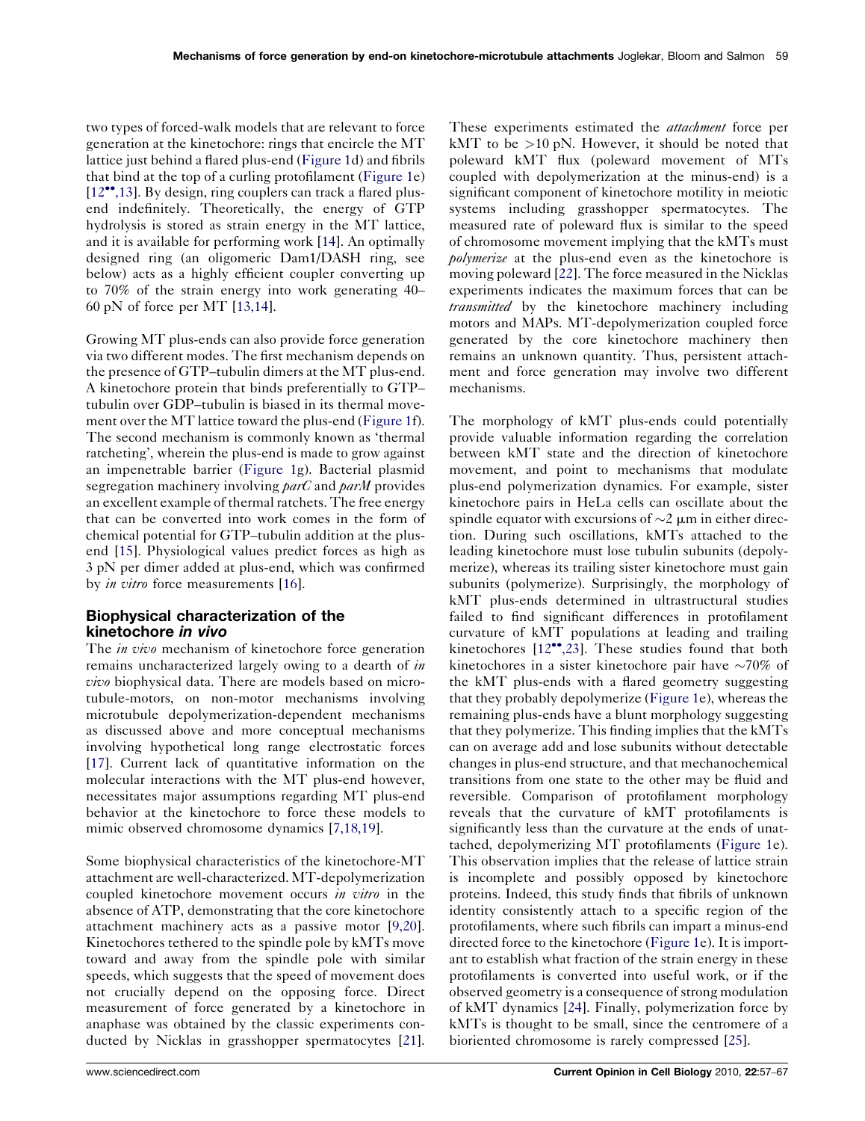two types of forced-walk models that are relevant to force generation at the kinetochore: rings that encircle the MT lattice just behind a flared plus-end ([Figure 1d](#page-1-0)) and fibrils that bind at the top of a curling protofilament [\(Figure 1e](#page-1-0)) [\[12](#page-8-0)\*[,13](#page-8-0)]. By design, ring couplers can track a flared plusend indefinitely. Theoretically, the energy of GTP hydrolysis is stored as strain energy in the MT lattice, and it is available for performing work [[14\]](#page-8-0). An optimally designed ring (an oligomeric Dam1/DASH ring, see below) acts as a highly efficient coupler converting up to 70% of the strain energy into work generating 40– 60 pN of force per MT [[13,14](#page-8-0)].

Growing MT plus-ends can also provide force generation via two different modes. The first mechanism depends on the presence of GTP–tubulin dimers at the MT plus-end. A kinetochore protein that binds preferentially to GTP– tubulin over GDP–tubulin is biased in its thermal movement over the MT lattice toward the plus-end ([Figure 1](#page-1-0)f). The second mechanism is commonly known as 'thermal ratcheting', wherein the plus-end is made to grow against an impenetrable barrier ([Figure 1](#page-1-0)g). Bacterial plasmid segregation machinery involving  $parC$  and  $parM$  provides an excellent example of thermal ratchets. The free energy that can be converted into work comes in the form of chemical potential for GTP–tubulin addition at the plusend [\[15](#page-8-0)]. Physiological values predict forces as high as 3 pN per dimer added at plus-end, which was confirmed by *in vitro* force measurements [[16\]](#page-8-0).

#### Biophysical characterization of the kinetochore in vivo

The *in vivo* mechanism of kinetochore force generation remains uncharacterized largely owing to a dearth of in vivo biophysical data. There are models based on microtubule-motors, on non-motor mechanisms involving microtubule depolymerization-dependent mechanisms as discussed above and more conceptual mechanisms involving hypothetical long range electrostatic forces [\[17](#page-8-0)]. Current lack of quantitative information on the molecular interactions with the MT plus-end however, necessitates major assumptions regarding MT plus-end behavior at the kinetochore to force these models to mimic observed chromosome dynamics [\[7,18,19](#page-8-0)].

Some biophysical characteristics of the kinetochore-MT attachment are well-characterized. MT-depolymerization coupled kinetochore movement occurs in vitro in the absence of ATP, demonstrating that the core kinetochore attachment machinery acts as a passive motor [[9,20](#page-8-0)]. Kinetochores tethered to the spindle pole by kMTs move toward and away from the spindle pole with similar speeds, which suggests that the speed of movement does not crucially depend on the opposing force. Direct measurement of force generated by a kinetochore in anaphase was obtained by the classic experiments conducted by Nicklas in grasshopper spermatocytes [\[21](#page-8-0)].

These experiments estimated the *attachment* force per kMT to be  $>10$  pN. However, it should be noted that poleward kMT flux (poleward movement of MTs coupled with depolymerization at the minus-end) is a significant component of kinetochore motility in meiotic systems including grasshopper spermatocytes. The measured rate of poleward flux is similar to the speed of chromosome movement implying that the kMTs must polymerize at the plus-end even as the kinetochore is moving poleward [[22\]](#page-8-0). The force measured in the Nicklas experiments indicates the maximum forces that can be transmitted by the kinetochore machinery including motors and MAPs. MT-depolymerization coupled force generated by the core kinetochore machinery then remains an unknown quantity. Thus, persistent attachment and force generation may involve two different mechanisms.

The morphology of kMT plus-ends could potentially provide valuable information regarding the correlation between kMT state and the direction of kinetochore movement, and point to mechanisms that modulate plus-end polymerization dynamics. For example, sister kinetochore pairs in HeLa cells can oscillate about the spindle equator with excursions of  $\sim$ 2  $\mu$ m in either direction. During such oscillations, kMTs attached to the leading kinetochore must lose tubulin subunits (depolymerize), whereas its trailing sister kinetochore must gain subunits (polymerize). Surprisingly, the morphology of kMT plus-ends determined in ultrastructural studies failed to find significant differences in protofilament curvature of kMT populations at leading and trailing kinetochores  $[12^{\bullet\bullet}, 23]$  $[12^{\bullet\bullet}, 23]$  $[12^{\bullet\bullet}, 23]$ . These studies found that both kinetochores in a sister kinetochore pair have  $\sim 70\%$  of the kMT plus-ends with a flared geometry suggesting that they probably depolymerize [\(Figure 1](#page-1-0)e), whereas the remaining plus-ends have a blunt morphology suggesting that they polymerize. This finding implies that the kMTs can on average add and lose subunits without detectable changes in plus-end structure, and that mechanochemical transitions from one state to the other may be fluid and reversible. Comparison of protofilament morphology reveals that the curvature of kMT protofilaments is significantly less than the curvature at the ends of unattached, depolymerizing MT protofilaments ([Figure 1e](#page-1-0)). This observation implies that the release of lattice strain is incomplete and possibly opposed by kinetochore proteins. Indeed, this study finds that fibrils of unknown identity consistently attach to a specific region of the protofilaments, where such fibrils can impart a minus-end directed force to the kinetochore ([Figure 1e](#page-1-0)). It is important to establish what fraction of the strain energy in these protofilaments is converted into useful work, or if the observed geometry is a consequence of strong modulation of kMT dynamics [\[24](#page-8-0)]. Finally, polymerization force by kMTs is thought to be small, since the centromere of a bioriented chromosome is rarely compressed [[25\]](#page-8-0).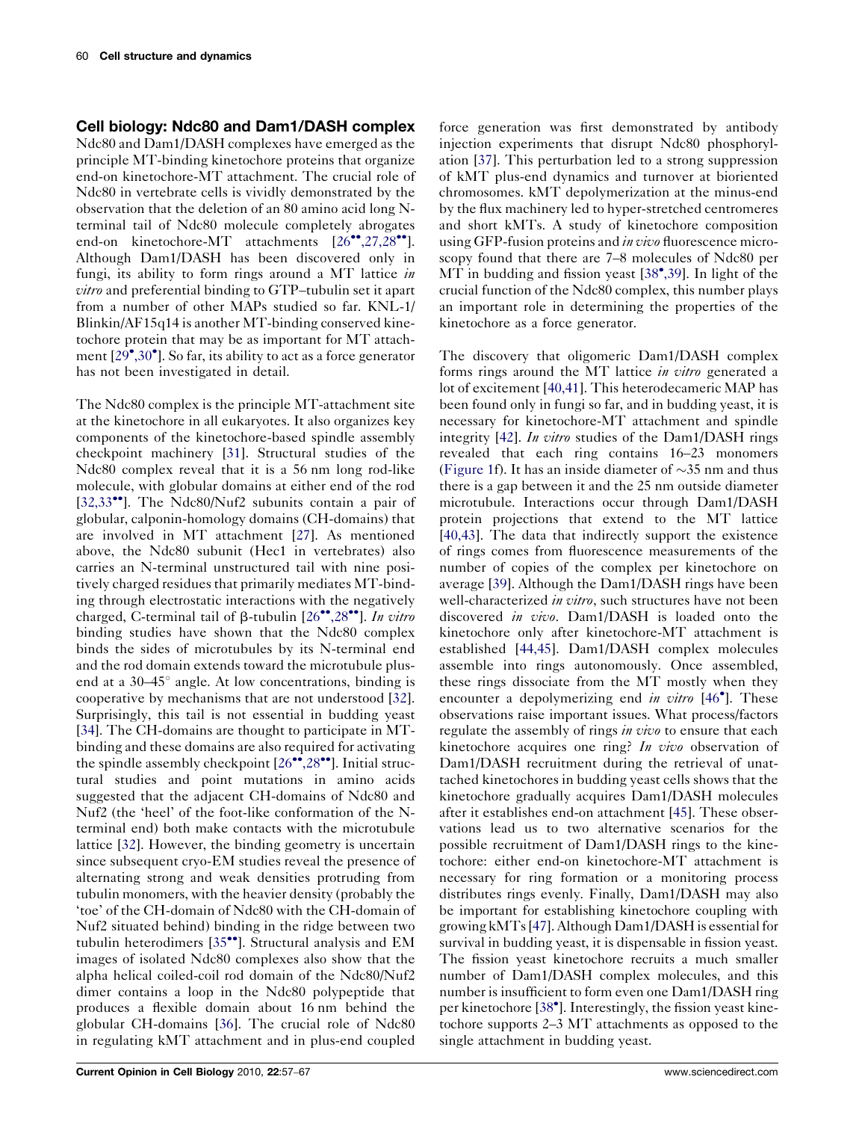### Cell biology: Ndc80 and Dam1/DASH complex

Ndc80 and Dam1/DASH complexes have emerged as the principle MT-binding kinetochore proteins that organize end-on kinetochore-MT attachment. The crucial role of Ndc80 in vertebrate cells is vividly demonstrated by the observation that the deletion of an 80 amino acid long Nterminal tail of Ndc80 molecule completely abrogates end-on kinetochore-MT attachments [\[26](#page-8-0)<sup>\*</sup>[,27,28](#page-8-0)<sup>\*</sup>]. Although Dam1/DASH has been discovered only in fungi, its ability to form rings around a MT lattice in *vitro* and preferential binding to GTP–tubulin set it apart from a number of other MAPs studied so far. KNL-1/ Blinkin/AF15q14 is another MT-binding conserved kinetochore protein that may be as important for MT attach-ment [\[29](#page-8-0)<sup>°</sup>[,30](#page-8-0)<sup>°</sup>]. So far, its ability to act as a force generator has not been investigated in detail.

The Ndc80 complex is the principle MT-attachment site at the kinetochore in all eukaryotes. It also organizes key components of the kinetochore-based spindle assembly checkpoint machinery [[31\]](#page-8-0). Structural studies of the Ndc80 complex reveal that it is a 56 nm long rod-like molecule, with globular domains at either end of the rod [\[32,33](#page-8-0)<sup>••</sup>]. The Ndc80/Nuf2 subunits contain a pair of globular, calponin-homology domains (CH-domains) that are involved in MT attachment [[27\]](#page-8-0). As mentioned above, the Ndc80 subunit (Hec1 in vertebrates) also carries an N-terminal unstructured tail with nine positively charged residues that primarily mediates MT-binding through electrostatic interactions with the negatively charged, C-terminal tail of β-tubulin [[26](#page-8-0)<sup>••</sup>[,28](#page-8-0)<sup>••</sup>]. In vitro binding studies have shown that the Ndc80 complex binds the sides of microtubules by its N-terminal end and the rod domain extends toward the microtubule plusend at a  $30-45^\circ$  angle. At low concentrations, binding is cooperative by mechanisms that are not understood [\[32](#page-8-0)]. Surprisingly, this tail is not essential in budding yeast [\[34](#page-8-0)]. The CH-domains are thought to participate in MTbinding and these domains are also required for activating the spindle assembly checkpoint  $[26\text{''}, 28\text{''}$  $[26\text{''}, 28\text{''}$  $[26\text{''}, 28\text{''}$ ]. Initial structural studies and point mutations in amino acids suggested that the adjacent CH-domains of Ndc80 and Nuf2 (the 'heel' of the foot-like conformation of the Nterminal end) both make contacts with the microtubule lattice [\[32](#page-8-0)]. However, the binding geometry is uncertain since subsequent cryo-EM studies reveal the presence of alternating strong and weak densities protruding from tubulin monomers, with the heavier density (probably the 'toe' of the CH-domain of Ndc80 with the CH-domain of Nuf2 situated behind) binding in the ridge between two tubulin heterodimers [[35](#page-8-0)\*\*]. Structural analysis and EM images of isolated Ndc80 complexes also show that the alpha helical coiled-coil rod domain of the Ndc80/Nuf2 dimer contains a loop in the Ndc80 polypeptide that produces a flexible domain about 16 nm behind the globular CH-domains [\[36](#page-9-0)]. The crucial role of Ndc80 in regulating kMT attachment and in plus-end coupled

force generation was first demonstrated by antibody injection experiments that disrupt Ndc80 phosphorylation [[37\]](#page-9-0). This perturbation led to a strong suppression of kMT plus-end dynamics and turnover at bioriented chromosomes. kMT depolymerization at the minus-end by the flux machinery led to hyper-stretched centromeres and short kMTs. A study of kinetochore composition using GFP-fusion proteins and *in vivo* fluorescence microscopy found that there are 7–8 molecules of Ndc80 per MT in budding and fission yeast [[38](#page-9-0)°[,39\]](#page-9-0). In light of the crucial function of the Ndc80 complex, this number plays an important role in determining the properties of the kinetochore as a force generator.

The discovery that oligomeric Dam1/DASH complex forms rings around the MT lattice in vitro generated a lot of excitement [[40,41](#page-9-0)]. This heterodecameric MAP has been found only in fungi so far, and in budding yeast, it is necessary for kinetochore-MT attachment and spindle integrity [[42\]](#page-9-0). *In vitro* studies of the Dam1/DASH rings revealed that each ring contains 16–23 monomers [\(Figure 1](#page-1-0)f). It has an inside diameter of  $\sim$ 35 nm and thus there is a gap between it and the 25 nm outside diameter microtubule. Interactions occur through Dam1/DASH protein projections that extend to the MT lattice [\[40,43\]](#page-9-0). The data that indirectly support the existence of rings comes from fluorescence measurements of the number of copies of the complex per kinetochore on average [\[39](#page-9-0)]. Although the Dam1/DASH rings have been well-characterized *in vitro*, such structures have not been discovered *in vivo*. Dam1/DASH is loaded onto the kinetochore only after kinetochore-MT attachment is established [\[44,45\]](#page-9-0). Dam1/DASH complex molecules assemble into rings autonomously. Once assembled, these rings dissociate from the MT mostly when they encounter a depolymerizing end in vitro  $[46^{\circ}]$  $[46^{\circ}]$  $[46^{\circ}]$ . These observations raise important issues. What process/factors regulate the assembly of rings in vivo to ensure that each kinetochore acquires one ring? In vivo observation of Dam1/DASH recruitment during the retrieval of unattached kinetochores in budding yeast cells shows that the kinetochore gradually acquires Dam1/DASH molecules after it establishes end-on attachment [[45\]](#page-9-0). These observations lead us to two alternative scenarios for the possible recruitment of Dam1/DASH rings to the kinetochore: either end-on kinetochore-MT attachment is necessary for ring formation or a monitoring process distributes rings evenly. Finally, Dam1/DASH may also be important for establishing kinetochore coupling with growing kMTs [\[47](#page-9-0)]. Although Dam1/DASH is essential for survival in budding yeast, it is dispensable in fission yeast. The fission yeast kinetochore recruits a much smaller number of Dam1/DASH complex molecules, and this number is insufficient to form even one Dam1/DASH ring per kinetochore [\[38](#page-9-0)<sup>°</sup>]. Interestingly, the fission yeast kinetochore supports 2–3 MT attachments as opposed to the single attachment in budding yeast.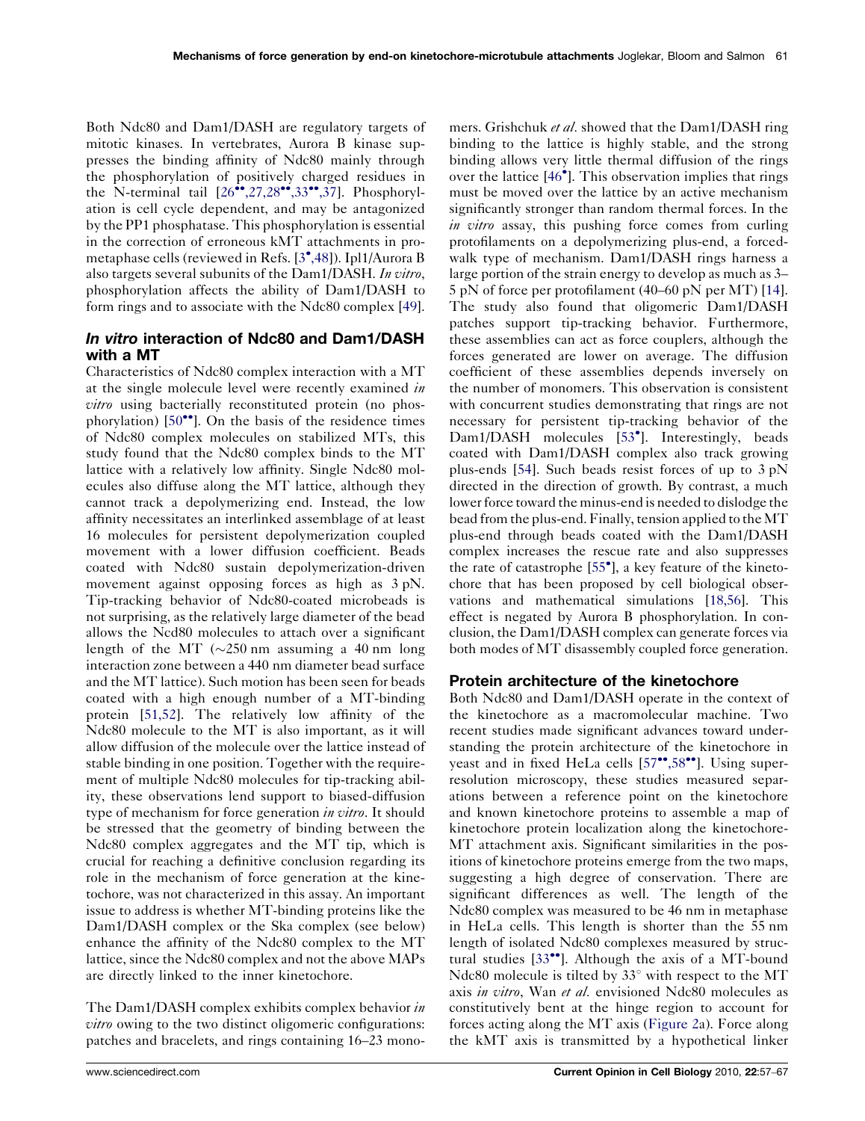Both Ndc80 and Dam1/DASH are regulatory targets of mitotic kinases. In vertebrates, Aurora B kinase suppresses the binding affinity of Ndc80 mainly through the phosphorylation of positively charged residues in the N-terminal tail  $[26$ <sup>2</sup>[,27,28](#page-8-0)<sup>\*</sup>[,33](#page-8-0)<sup>\*\*</sup>[,37\]](#page-8-0). Phosphorylation is cell cycle dependent, and may be antagonized by the PP1 phosphatase. This phosphorylation is essential in the correction of erroneous kMT attachments in pro-metaphase cells (reviewed in Refs. [[3](#page-8-0)\*[,48\]](#page-8-0)). Ipl1/Aurora B also targets several subunits of the Dam1/DASH. In vitro, phosphorylation affects the ability of Dam1/DASH to form rings and to associate with the Ndc80 complex [\[49](#page-9-0)].

#### In vitro interaction of Ndc80 and Dam1/DASH with a MT

Characteristics of Ndc80 complex interaction with a MT at the single molecule level were recently examined in vitro using bacterially reconstituted protein (no phos-phorylation) [\[50](#page-9-0)<sup>\*</sup>]. On the basis of the residence times of Ndc80 complex molecules on stabilized MTs, this study found that the Ndc80 complex binds to the MT lattice with a relatively low affinity. Single Ndc80 molecules also diffuse along the MT lattice, although they cannot track a depolymerizing end. Instead, the low affinity necessitates an interlinked assemblage of at least 16 molecules for persistent depolymerization coupled movement with a lower diffusion coefficient. Beads coated with Ndc80 sustain depolymerization-driven movement against opposing forces as high as 3 pN. Tip-tracking behavior of Ndc80-coated microbeads is not surprising, as the relatively large diameter of the bead allows the Ncd80 molecules to attach over a significant length of the MT ( $\sim$ 250 nm assuming a 40 nm long interaction zone between a 440 nm diameter bead surface and the MT lattice). Such motion has been seen for beads coated with a high enough number of a MT-binding protein [\[51,52\]](#page-9-0). The relatively low affinity of the Ndc80 molecule to the MT is also important, as it will allow diffusion of the molecule over the lattice instead of stable binding in one position. Together with the requirement of multiple Ndc80 molecules for tip-tracking ability, these observations lend support to biased-diffusion type of mechanism for force generation *in vitro*. It should be stressed that the geometry of binding between the Ndc80 complex aggregates and the MT tip, which is crucial for reaching a definitive conclusion regarding its role in the mechanism of force generation at the kinetochore, was not characterized in this assay. An important issue to address is whether MT-binding proteins like the Dam1/DASH complex or the Ska complex (see below) enhance the affinity of the Ndc80 complex to the MT lattice, since the Ndc80 complex and not the above MAPs are directly linked to the inner kinetochore.

The Dam1/DASH complex exhibits complex behavior in vitro owing to the two distinct oligomeric configurations: patches and bracelets, and rings containing 16–23 mono-

mers. Grishchuk et al. showed that the Dam1/DASH ring binding to the lattice is highly stable, and the strong binding allows very little thermal diffusion of the rings over the lattice [\[46](#page-9-0)<sup>\*</sup>]. This observation implies that rings must be moved over the lattice by an active mechanism significantly stronger than random thermal forces. In the in vitro assay, this pushing force comes from curling protofilaments on a depolymerizing plus-end, a forcedwalk type of mechanism. Dam1/DASH rings harness a large portion of the strain energy to develop as much as 3– 5 pN of force per protofilament (40–60 pN per MT) [[14\]](#page-8-0). The study also found that oligomeric Dam1/DASH patches support tip-tracking behavior. Furthermore, these assemblies can act as force couplers, although the forces generated are lower on average. The diffusion coefficient of these assemblies depends inversely on the number of monomers. This observation is consistent with concurrent studies demonstrating that rings are not necessary for persistent tip-tracking behavior of the Dam1/DASH molecules [[53](#page-9-0)<sup>°</sup>]. Interestingly, beads coated with Dam1/DASH complex also track growing plus-ends [[54\]](#page-9-0). Such beads resist forces of up to 3 pN directed in the direction of growth. By contrast, a much lower force toward the minus-end is needed to dislodge the bead from the plus-end. Finally, tension applied to theMT plus-end through beads coated with the Dam1/DASH complex increases the rescue rate and also suppresses the rate of catastrophe [\[55](#page-9-0)<sup>°</sup>], a key feature of the kinetochore that has been proposed by cell biological observations and mathematical simulations [[18,56\]](#page-8-0). This effect is negated by Aurora B phosphorylation. In conclusion, the Dam1/DASH complex can generate forces via both modes of MT disassembly coupled force generation.

#### Protein architecture of the kinetochore

Both Ndc80 and Dam1/DASH operate in the context of the kinetochore as a macromolecular machine. Two recent studies made significant advances toward understanding the protein architecture of the kinetochore in yeast and in fixed HeLa cells [[57](#page-9-0)\*\*[,58](#page-9-0)\*\*]. Using superresolution microscopy, these studies measured separations between a reference point on the kinetochore and known kinetochore proteins to assemble a map of kinetochore protein localization along the kinetochore-MT attachment axis. Significant similarities in the positions of kinetochore proteins emerge from the two maps, suggesting a high degree of conservation. There are significant differences as well. The length of the Ndc80 complex was measured to be 46 nm in metaphase in HeLa cells. This length is shorter than the 55 nm length of isolated Ndc80 complexes measured by struc-tural studies [\[33](#page-8-0)<sup>••</sup>]. Although the axis of a MT-bound Ndc80 molecule is tilted by  $33^{\circ}$  with respect to the MT axis in vitro, Wan et al. envisioned Ndc80 molecules as constitutively bent at the hinge region to account for forces acting along the MT axis [\(Figure 2](#page-5-0)a). Force along the kMT axis is transmitted by a hypothetical linker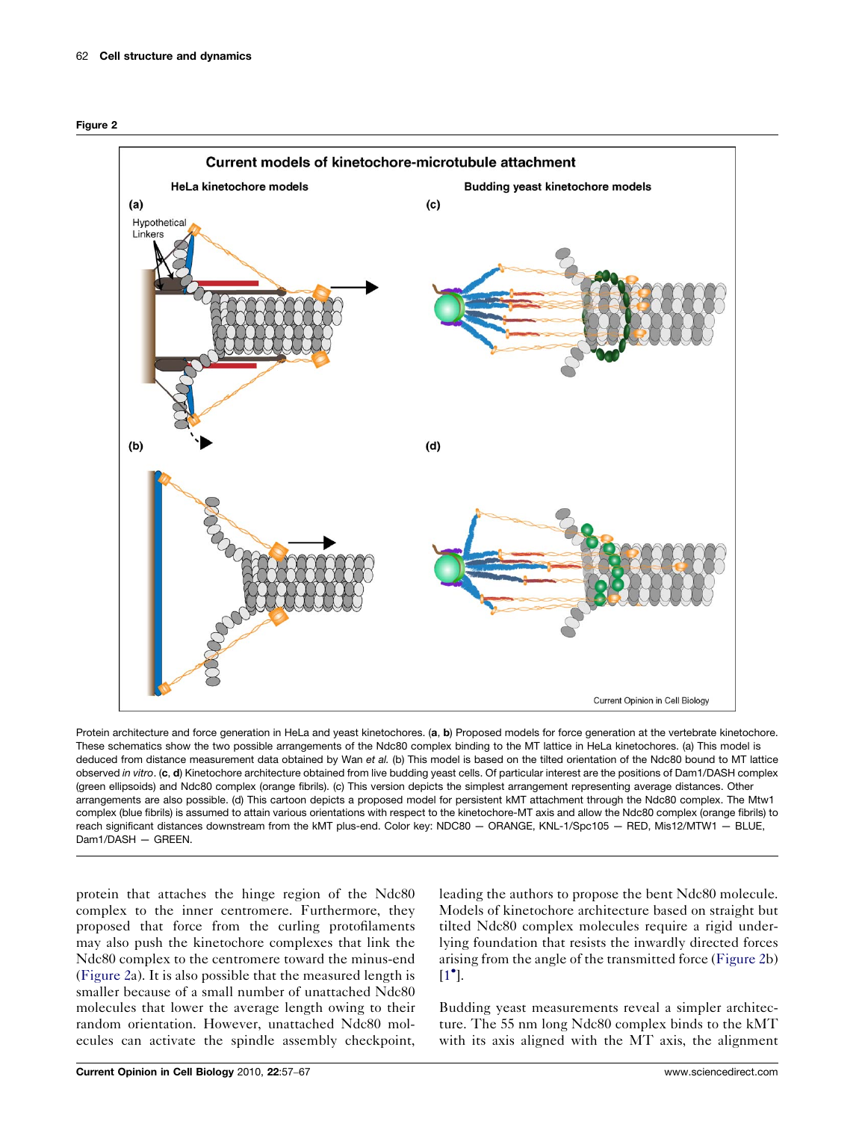<span id="page-5-0"></span>



Protein architecture and force generation in HeLa and yeast kinetochores. (a, b) Proposed models for force generation at the vertebrate kinetochore. These schematics show the two possible arrangements of the Ndc80 complex binding to the MT lattice in HeLa kinetochores. (a) This model is deduced from distance measurement data obtained by Wan et al. (b) This model is based on the tilted orientation of the Ndc80 bound to MT lattice observed in vitro. (c, d) Kinetochore architecture obtained from live budding yeast cells. Of particular interest are the positions of Dam1/DASH complex (green ellipsoids) and Ndc80 complex (orange fibrils). (c) This version depicts the simplest arrangement representing average distances. Other arrangements are also possible. (d) This cartoon depicts a proposed model for persistent kMT attachment through the Ndc80 complex. The Mtw1 complex (blue fibrils) is assumed to attain various orientations with respect to the kinetochore-MT axis and allow the Ndc80 complex (orange fibrils) to reach significant distances downstream from the kMT plus-end. Color key: NDC80 — ORANGE, KNL-1/Spc105 — RED, Mis12/MTW1 — BLUE, Dam1/DASH — GREEN.

protein that attaches the hinge region of the Ndc80 complex to the inner centromere. Furthermore, they proposed that force from the curling protofilaments may also push the kinetochore complexes that link the Ndc80 complex to the centromere toward the minus-end (Figure 2a). It is also possible that the measured length is smaller because of a small number of unattached Ndc80 molecules that lower the average length owing to their random orientation. However, unattached Ndc80 molecules can activate the spindle assembly checkpoint,

leading the authors to propose the bent Ndc80 molecule. Models of kinetochore architecture based on straight but tilted Ndc80 complex molecules require a rigid underlying foundation that resists the inwardly directed forces arising from the angle of the transmitted force (Figure 2b)  $[1^{\bullet}].$  $[1^{\bullet}].$ 

Budding yeast measurements reveal a simpler architecture. The 55 nm long Ndc80 complex binds to the kMT with its axis aligned with the MT axis, the alignment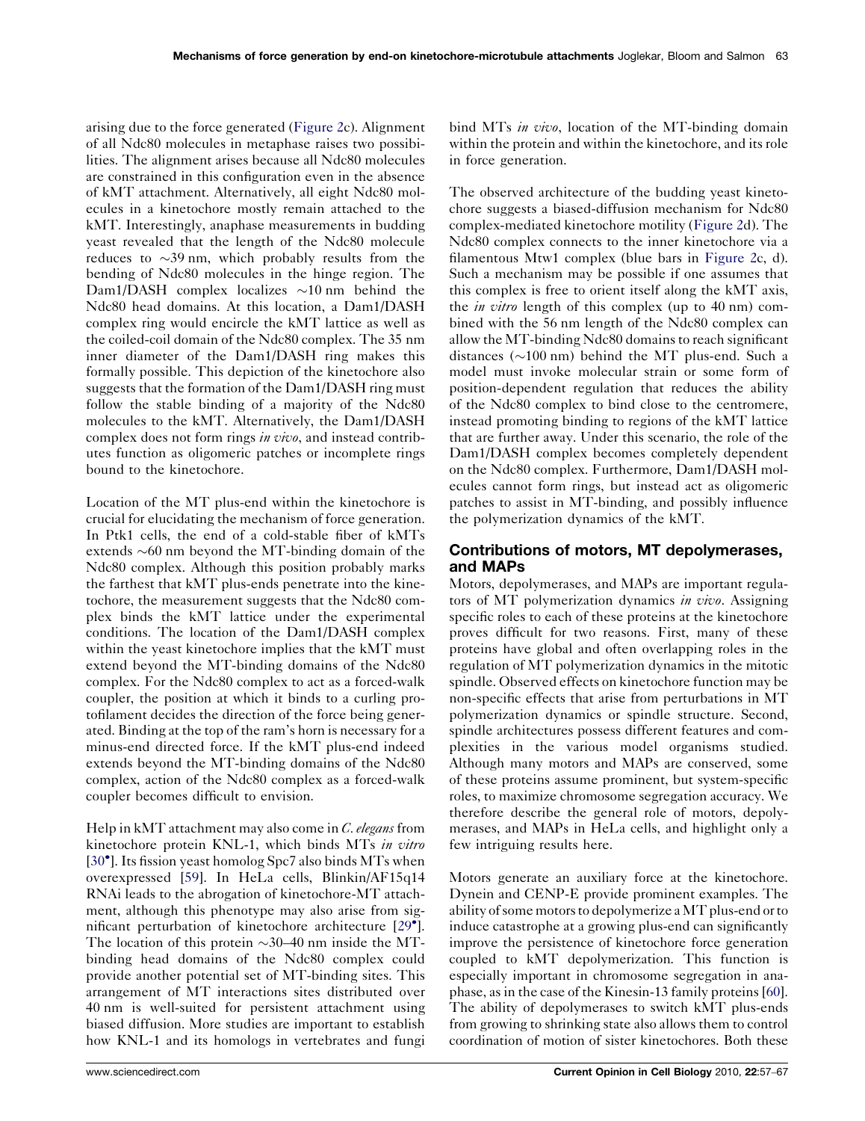arising due to the force generated ([Figure 2c](#page-5-0)). Alignment of all Ndc80 molecules in metaphase raises two possibilities. The alignment arises because all Ndc80 molecules are constrained in this configuration even in the absence of kMT attachment. Alternatively, all eight Ndc80 molecules in a kinetochore mostly remain attached to the kMT. Interestingly, anaphase measurements in budding yeast revealed that the length of the Ndc80 molecule reduces to  $\sim$ 39 nm, which probably results from the bending of Ndc80 molecules in the hinge region. The Dam1/DASH complex localizes  $\sim$ 10 nm behind the Ndc80 head domains. At this location, a Dam1/DASH complex ring would encircle the kMT lattice as well as the coiled-coil domain of the Ndc80 complex. The 35 nm inner diameter of the Dam1/DASH ring makes this formally possible. This depiction of the kinetochore also suggests that the formation of the Dam1/DASH ring must follow the stable binding of a majority of the Ndc80 molecules to the kMT. Alternatively, the Dam1/DASH complex does not form rings in vivo, and instead contributes function as oligomeric patches or incomplete rings bound to the kinetochore.

Location of the MT plus-end within the kinetochore is crucial for elucidating the mechanism of force generation. In Ptk1 cells, the end of a cold-stable fiber of kMTs extends  $\sim 60$  nm beyond the MT-binding domain of the Ndc80 complex. Although this position probably marks the farthest that kMT plus-ends penetrate into the kinetochore, the measurement suggests that the Ndc80 complex binds the kMT lattice under the experimental conditions. The location of the Dam1/DASH complex within the yeast kinetochore implies that the kMT must extend beyond the MT-binding domains of the Ndc80 complex. For the Ndc80 complex to act as a forced-walk coupler, the position at which it binds to a curling protofilament decides the direction of the force being generated. Binding at the top of the ram's horn is necessary for a minus-end directed force. If the kMT plus-end indeed extends beyond the MT-binding domains of the Ndc80 complex, action of the Ndc80 complex as a forced-walk coupler becomes difficult to envision.

Help in kMT attachment may also come in C. elegans from kinetochore protein KNL-1, which binds MTs in vitro [\[30](#page-8-0)<sup>°</sup>]. Its fission yeast homolog Spc7 also binds MTs when overexpressed [[59\]](#page-9-0). In HeLa cells, Blinkin/AF15q14 RNAi leads to the abrogation of kinetochore-MT attachment, although this phenotype may also arise from sig-nificant perturbation of kinetochore architecture [[29](#page-8-0)]. The location of this protein  $\sim$ 30–40 nm inside the MTbinding head domains of the Ndc80 complex could provide another potential set of MT-binding sites. This arrangement of MT interactions sites distributed over 40 nm is well-suited for persistent attachment using biased diffusion. More studies are important to establish how KNL-1 and its homologs in vertebrates and fungi bind MTs in vivo, location of the MT-binding domain within the protein and within the kinetochore, and its role in force generation.

The observed architecture of the budding yeast kinetochore suggests a biased-diffusion mechanism for Ndc80 complex-mediated kinetochore motility [\(Figure 2d](#page-5-0)). The Ndc80 complex connects to the inner kinetochore via a filamentous Mtw1 complex (blue bars in [Figure 2](#page-5-0)c, d). Such a mechanism may be possible if one assumes that this complex is free to orient itself along the kMT axis, the *in vitro* length of this complex (up to 40 nm) combined with the 56 nm length of the Ndc80 complex can allow the MT-binding Ndc80 domains to reach significant distances ( $\sim$ 100 nm) behind the MT plus-end. Such a model must invoke molecular strain or some form of position-dependent regulation that reduces the ability of the Ndc80 complex to bind close to the centromere, instead promoting binding to regions of the kMT lattice that are further away. Under this scenario, the role of the Dam1/DASH complex becomes completely dependent on the Ndc80 complex. Furthermore, Dam1/DASH molecules cannot form rings, but instead act as oligomeric patches to assist in MT-binding, and possibly influence the polymerization dynamics of the kMT.

## Contributions of motors, MT depolymerases, and MAPs

Motors, depolymerases, and MAPs are important regulators of MT polymerization dynamics in vivo. Assigning specific roles to each of these proteins at the kinetochore proves difficult for two reasons. First, many of these proteins have global and often overlapping roles in the regulation of MT polymerization dynamics in the mitotic spindle. Observed effects on kinetochore function may be non-specific effects that arise from perturbations in MT polymerization dynamics or spindle structure. Second, spindle architectures possess different features and complexities in the various model organisms studied. Although many motors and MAPs are conserved, some of these proteins assume prominent, but system-specific roles, to maximize chromosome segregation accuracy. We therefore describe the general role of motors, depolymerases, and MAPs in HeLa cells, and highlight only a few intriguing results here.

Motors generate an auxiliary force at the kinetochore. Dynein and CENP-E provide prominent examples. The ability of some motors to depolymerize aMT plus-end or to induce catastrophe at a growing plus-end can significantly improve the persistence of kinetochore force generation coupled to kMT depolymerization. This function is especially important in chromosome segregation in anaphase, as in the case of the Kinesin-13 family proteins [[60\]](#page-9-0). The ability of depolymerases to switch kMT plus-ends from growing to shrinking state also allows them to control coordination of motion of sister kinetochores. Both these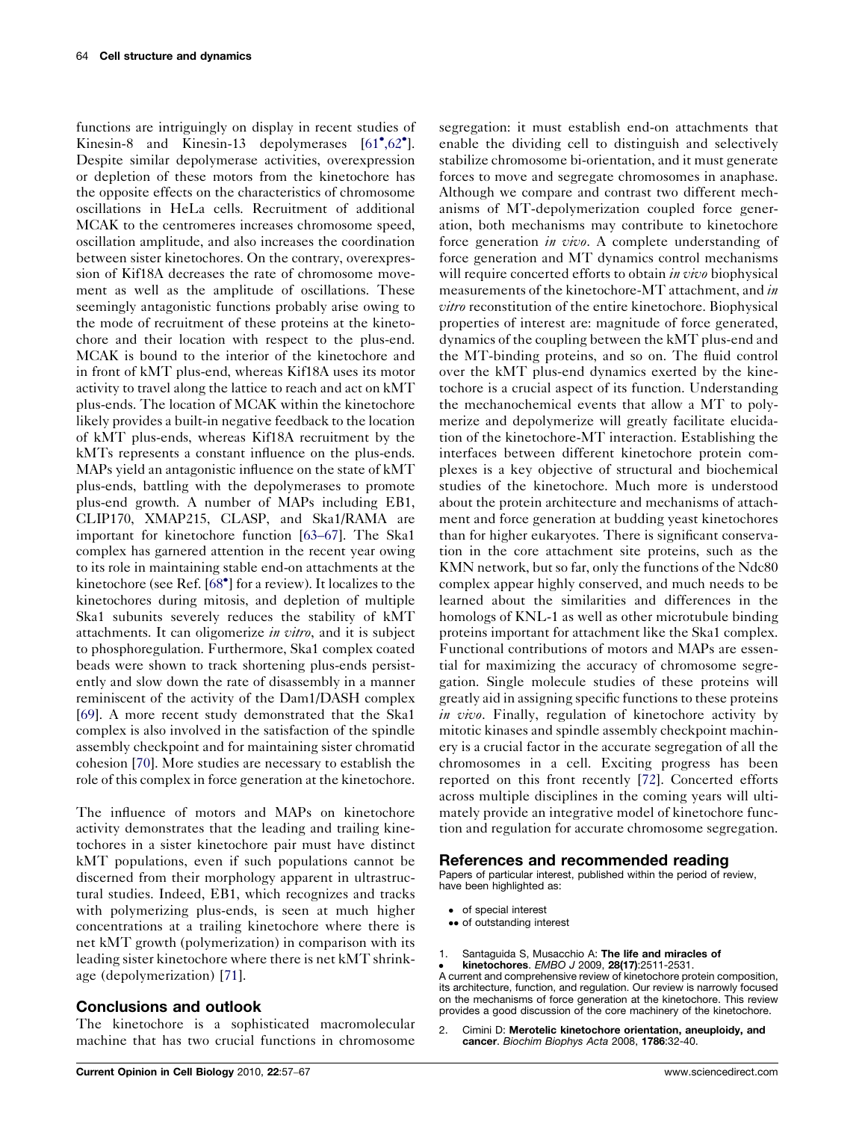<span id="page-7-0"></span>functions are intriguingly on display in recent studies of Kinesin-8 and Kinesin-13 depolymerases [[61](#page-10-0)°[,62](#page-10-0)°]. Despite similar depolymerase activities, overexpression or depletion of these motors from the kinetochore has the opposite effects on the characteristics of chromosome oscillations in HeLa cells. Recruitment of additional MCAK to the centromeres increases chromosome speed, oscillation amplitude, and also increases the coordination between sister kinetochores. On the contrary, overexpression of Kif18A decreases the rate of chromosome movement as well as the amplitude of oscillations. These seemingly antagonistic functions probably arise owing to the mode of recruitment of these proteins at the kinetochore and their location with respect to the plus-end. MCAK is bound to the interior of the kinetochore and in front of kMT plus-end, whereas Kif18A uses its motor activity to travel along the lattice to reach and act on kMT plus-ends. The location of MCAK within the kinetochore likely provides a built-in negative feedback to the location of kMT plus-ends, whereas Kif18A recruitment by the kMTs represents a constant influence on the plus-ends. MAPs yield an antagonistic influence on the state of kMT plus-ends, battling with the depolymerases to promote plus-end growth. A number of MAPs including EB1, CLIP170, XMAP215, CLASP, and Ska1/RAMA are important for kinetochore function [63–[67\]](#page-10-0). The Ska1 complex has garnered attention in the recent year owing to its role in maintaining stable end-on attachments at the kinetochore (see Ref. [\[68](#page-10-0)<sup>\*</sup>] for a review). It localizes to the kinetochores during mitosis, and depletion of multiple Ska1 subunits severely reduces the stability of kMT attachments. It can oligomerize *in vitro*, and it is subject to phosphoregulation. Furthermore, Ska1 complex coated beads were shown to track shortening plus-ends persistently and slow down the rate of disassembly in a manner reminiscent of the activity of the Dam1/DASH complex [\[69](#page-10-0)]. A more recent study demonstrated that the Ska1 complex is also involved in the satisfaction of the spindle assembly checkpoint and for maintaining sister chromatid cohesion [\[70](#page-10-0)]. More studies are necessary to establish the role of this complex in force generation at the kinetochore.

The influence of motors and MAPs on kinetochore activity demonstrates that the leading and trailing kinetochores in a sister kinetochore pair must have distinct kMT populations, even if such populations cannot be discerned from their morphology apparent in ultrastructural studies. Indeed, EB1, which recognizes and tracks with polymerizing plus-ends, is seen at much higher concentrations at a trailing kinetochore where there is net kMT growth (polymerization) in comparison with its leading sister kinetochore where there is net kMT shrinkage (depolymerization) [[71\]](#page-10-0).

#### Conclusions and outlook

The kinetochore is a sophisticated macromolecular machine that has two crucial functions in chromosome segregation: it must establish end-on attachments that enable the dividing cell to distinguish and selectively stabilize chromosome bi-orientation, and it must generate forces to move and segregate chromosomes in anaphase. Although we compare and contrast two different mechanisms of MT-depolymerization coupled force generation, both mechanisms may contribute to kinetochore force generation *in vivo*. A complete understanding of force generation and MT dynamics control mechanisms will require concerted efforts to obtain *in vivo* biophysical measurements of the kinetochore-MT attachment, and in vitro reconstitution of the entire kinetochore. Biophysical properties of interest are: magnitude of force generated, dynamics of the coupling between the kMT plus-end and the MT-binding proteins, and so on. The fluid control over the kMT plus-end dynamics exerted by the kinetochore is a crucial aspect of its function. Understanding the mechanochemical events that allow a MT to polymerize and depolymerize will greatly facilitate elucidation of the kinetochore-MT interaction. Establishing the interfaces between different kinetochore protein complexes is a key objective of structural and biochemical studies of the kinetochore. Much more is understood about the protein architecture and mechanisms of attachment and force generation at budding yeast kinetochores than for higher eukaryotes. There is significant conservation in the core attachment site proteins, such as the KMN network, but so far, only the functions of the Ndc80 complex appear highly conserved, and much needs to be learned about the similarities and differences in the homologs of KNL-1 as well as other microtubule binding proteins important for attachment like the Ska1 complex. Functional contributions of motors and MAPs are essential for maximizing the accuracy of chromosome segregation. Single molecule studies of these proteins will greatly aid in assigning specific functions to these proteins in vivo. Finally, regulation of kinetochore activity by mitotic kinases and spindle assembly checkpoint machinery is a crucial factor in the accurate segregation of all the chromosomes in a cell. Exciting progress has been reported on this front recently [[72\]](#page-10-0). Concerted efforts across multiple disciplines in the coming years will ultimately provide an integrative model of kinetochore function and regulation for accurate chromosome segregation.

#### References and recommended reading

Papers of particular interest, published within the period of review, have been highlighted as:

- of special interest
- •• of outstanding interest
- 1. Santaguida S, Musacchio A: The life and miracles of
- kinetochores. EMBO J 2009, 28(17):2511-2531.

-A current and comprehensive review of kinetochore protein composition, its architecture, function, and regulation. Our review is narrowly focused on the mechanisms of force generation at the kinetochore. This review provides a good discussion of the core machinery of the kinetochore.

2. Cimini D: Merotelic kinetochore orientation, aneuploidy, and cancer. Biochim Biophys Acta 2008, 1786:32-40.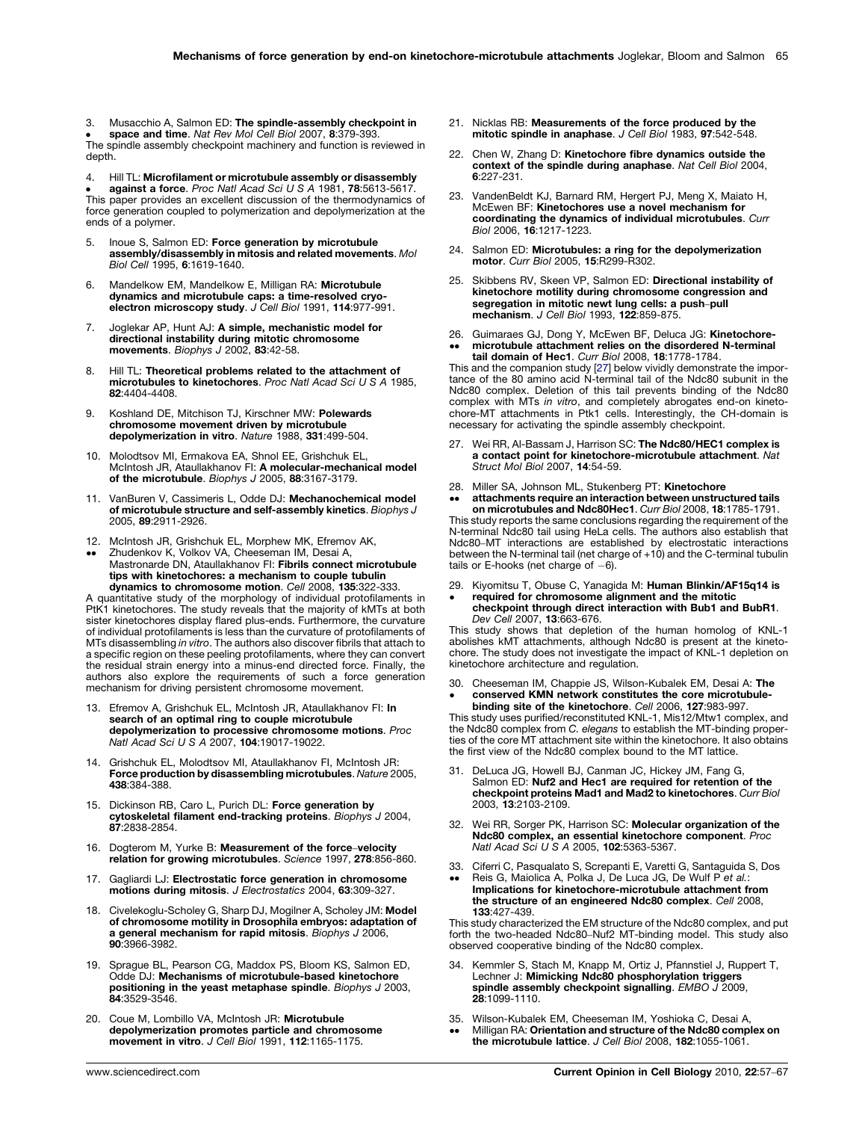<span id="page-8-0"></span>3. Musacchio A, Salmon ED: The spindle-assembly checkpoint in space and time. Nat Rev Mol Cell Biol 2007, 8:379-393.

**• space and time**. *Nat Rev Mol Cell Biol* 2007, **8**:379-393.<br>The spindle assembly checkpoint machinery and function is reviewed in depth.

4. • against a force. Proc Natl Acad Sci U S A 1981, 78:5613-5617.<br>This paper provides an excellent discussion of the thermodynamics of Hill TL: Microfilament or microtubule assembly or disassembly against a force. Proc Natl Acad Sci U S A 1981, 78:5613-5617. force generation coupled to polymerization and depolymerization at the

- 5. Inoue S, Salmon ED: Force generation by microtubule assembly/disassembly in mitosis and related movements. Mol Biol Cell 1995, 6:1619-1640.
- 6. Mandelkow EM, Mandelkow E, Milligan RA: Microtubule dynamics and microtubule caps: a time-resolved cryoelectron microscopy study. J Cell Biol 1991, 114:977-991.

ends of a polymer.

- 7. Joglekar AP, Hunt AJ: A simple, mechanistic model for directional instability during mitotic chromosome movements. Biophys J 2002, 83:42-58.
- 8. Hill TL: Theoretical problems related to the attachment of microtubules to kinetochores. Proc Natl Acad Sci U S A 1985, 82:4404-4408.
- 9. Koshland DE, Mitchison TJ, Kirschner MW: Polewards chromosome movement driven by microtubule depolymerization in vitro. Nature 1988, 331:499-504.
- 10. Molodtsov MI, Ermakova EA, Shnol EE, Grishchuk EL, McIntosh JR, Ataullakhanov FI: A molecular-mechanical model of the microtubule. Biophys J 2005, 88:3167-3179.
- 11. VanBuren V, Cassimeris L, Odde DJ: Mechanochemical model of microtubule structure and self-assembly kinetics. Biophys J 2005, 89:2911-2926.
- 12. McIntosh JR, Grishchuk EL, Morphew MK, Efremov AK,
- $\bullet \bullet$ Zhudenkov K, Volkov VA, Cheeseman IM, Desai A, Mastronarde DN, Ataullakhanov FI: Fibrils connect microtubule tips with kinetochores: a mechanism to couple tubulin dynamics to chromosome motion. Cell 2008, 135:322-333.

A quantitative study of the morphology of individual protofilaments in PtK1 kinetochores. The study reveals that the majority of kMTs at both sister kinetochores display flared plus-ends. Furthermore, the curvature of individual protofilaments is less than the curvature of protofilaments of MTs disassembling in vitro. The authors also discover fibrils that attach to a specific region on these peeling protofilaments, where they can convert the residual strain energy into a minus-end directed force. Finally, the authors also explore the requirements of such a force generation mechanism for driving persistent chromosome movement.

- 13. Efremov A, Grishchuk EL, McIntosh JR, Ataullakhanov FI: In search of an optimal ring to couple microtubule depolymerization to processive chromosome motions. Proc Natl Acad Sci U S A 2007, 104:19017-19022.
- 14. Grishchuk EL, Molodtsov MI, Ataullakhanov FI, McIntosh JR: Force production by disassembling microtubules. Nature 2005, 438:384-388.
- 15. Dickinson RB, Caro L, Purich DL: Force generation by cytoskeletal filament end-tracking proteins. Biophys J 2004, 87:2838-2854.
- 16. Dogterom M, Yurke B: Measurement of the force–velocity relation for growing microtubules. Science 1997, 278:856-860.
- 17. Gagliardi LJ: Electrostatic force generation in chromosome motions during mitosis. J Electrostatics 2004, 63:309-327.
- 18. Civelekoglu-Scholey G, Sharp DJ, Mogilner A, Scholey JM: Model of chromosome motility in Drosophila embryos: adaptation of a general mechanism for rapid mitosis. Biophys J 2006, 90:3966-3982.
- 19. Sprague BL, Pearson CG, Maddox PS, Bloom KS, Salmon ED, Odde DJ: Mechanisms of microtubule-based kinetochore positioning in the yeast metaphase spindle. Biophys J 2003, 84:3529-3546.
- 20. Coue M, Lombillo VA, McIntosh JR: Microtubule depolymerization promotes particle and chromosome movement in vitro. J Cell Biol 1991, 112:1165-1175.
- 21. Nicklas RB: Measurements of the force produced by the mitotic spindle in anaphase. J Cell Biol 1983, 97:542-548.
- 22. Chen W, Zhang D: Kinetochore fibre dynamics outside the context of the spindle during anaphase. Nat Cell Biol 2004, 6:227-231.
- 23. VandenBeldt KJ, Barnard RM, Hergert PJ, Meng X, Maiato H, McEwen BF: Kinetochores use a novel mechanism for coordinating the dynamics of individual microtubules. Curr Biol 2006, 16:1217-1223.
- 24. Salmon ED: Microtubules: a ring for the depolymerization motor. Curr Biol 2005, 15:R299-R302.
- 25. Skibbens RV, Skeen VP, Salmon ED: Directional instability of kinetochore motility during chromosome congression and segregation in mitotic newt lung cells: a push–pull mechanism. J Cell Biol 1993, 122:859-875.
- 26. Guimaraes GJ, Dong Y, McEwen BF, Deluca JG: Kinetochore--microtubule attachment relies on the disordered N-terminal tail domain of Hec1. Curr Biol 2008, 18:1778-1784.

This and the companion study [27] below vividly demonstrate the importance of the 80 amino acid N-terminal tail of the Ndc80 subunit in the Ndc80 complex. Deletion of this tail prevents binding of the Ndc80 complex with MTs in vitro, and completely abrogates end-on kinetochore-MT attachments in Ptk1 cells. Interestingly, the CH-domain is necessary for activating the spindle assembly checkpoint.

- 27. Wei RR, Al-Bassam J, Harrison SC: The Ndc80/HEC1 complex is a contact point for kinetochore-microtubule attachment. Nat Struct Mol Biol 2007, 14:54-59.
- 28. Miller SA, Johnson ML, Stukenberg PT: Kinetochore attachments require an interaction between unstructured tails

-on microtubules and Ndc80Hec1. Curr Biol 2008, 18:1785-1791. This study reports the same conclusions regarding the requirement of the N-terminal Ndc80 tail using HeLa cells. The authors also establish that Ndc80–MT interactions are established by electrostatic interactions between the N-terminal tail (net charge of +10) and the C-terminal tubulin tails or E-hooks (net charge of  $-6$ ).

- 29. Kiyomitsu T, Obuse C, Yanagida M: Human Blinkin/AF15q14 is
- required for chromosome alignment and the mitotic checkpoint through direct interaction with Bub1 and BubR1. Dev Cell 2007, 13:663-676.

This study shows that depletion of the human homolog of KNL-1 abolishes kMT attachments, although Ndc80 is present at the kinetochore. The study does not investigate the impact of KNL-1 depletion on kinetochore architecture and regulation.

30. -Cheeseman IM, Chappie JS, Wilson-Kubalek EM, Desai A: The conserved KMN network constitutes the core microtubulebinding site of the kinetochore. Cell 2006, 127:983-997.

This study uses purified/reconstituted KNL-1, Mis12/Mtw1 complex, and the Ndc80 complex from C. elegans to establish the MT-binding properties of the core MT attachment site within the kinetochore. It also obtains the first view of the Ndc80 complex bound to the MT lattice.

- 31. DeLuca JG, Howell BJ, Canman JC, Hickey JM, Fang G, Salmon ED: Nuf2 and Hec1 are required for retention of the checkpoint proteins Mad1 and Mad2 to kinetochores. Curr Biol 2003, 13:2103-2109.
- 32. Wei RR, Sorger PK, Harrison SC: Molecular organization of the Ndc80 complex, an essential kinetochore component. Proc Natl Acad Sci U S A 2005, 102:5363-5367.
- 33. Ciferri C, Pasqualato S, Screpanti E, Varetti G, Santaguida S, Dos
- --Reis G, Maiolica A, Polka J, De Luca JG, De Wulf P et al.: Implications for kinetochore-microtubule attachment from the structure of an engineered Ndc80 complex. Cell 2008, 133:427-439.

This study characterized the EM structure of the Ndc80 complex, and put forth the two-headed Ndc80–Nuf2 MT-binding model. This study also observed cooperative binding of the Ndc80 complex.

- 34. Kemmler S, Stach M, Knapp M, Ortiz J, Pfannstiel J, Ruppert T, Lechner J: Mimicking Ndc80 phosphorylation triggers spindle assembly checkpoint signalling. EMBO J 2009, 28:1099-1110.
- 35. Wilson-Kubalek EM, Cheeseman IM, Yoshioka C, Desai A,
- --Milligan RA: Orientation and structure of the Ndc80 complex on the microtubule lattice. J Cell Biol 2008, 182:1055-1061.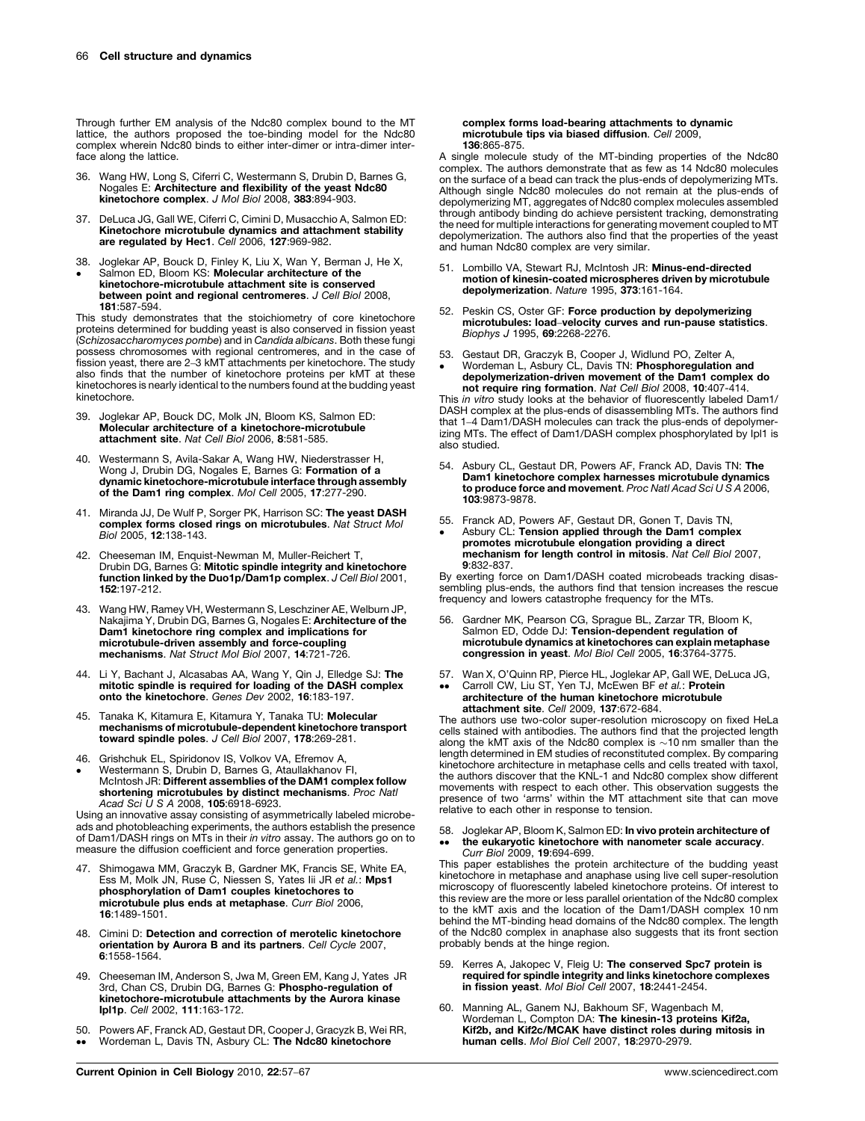<span id="page-9-0"></span>Through further EM analysis of the Ndc80 complex bound to the MT lattice, the authors proposed the toe-binding model for the Ndc80 complex wherein Ndc80 binds to either inter-dimer or intra-dimer interface along the lattice.

- 36. Wang HW, Long S, Ciferri C, Westermann S, Drubin D, Barnes G, Nogales E: Architecture and flexibility of the yeast Ndc80 kinetochore complex. J Mol Biol 2008, 383:894-903.
- 37. DeLuca JG, Gall WE, Ciferri C, Cimini D, Musacchio A, Salmon ED: Kinetochore microtubule dynamics and attachment stability are regulated by Hec1. Cell 2006, 127:969-982.
- 38.  $\bullet$ Joglekar AP, Bouck D, Finley K, Liu X, Wan Y, Berman J, He X,<br>Salmon ED, Bloom KS: **Molecular architecture of the** kinetochore-microtubule attachment site is conserved between point and regional centromeres. J Cell Biol 2008, 181:587-594.

This study demonstrates that the stoichiometry of core kinetochore proteins determined for budding yeast is also conserved in fission yeast (Schizosaccharomyces pombe) and in Candida albicans. Both these fungi possess chromosomes with regional centromeres, and in the case of fission yeast, there are 2–3 kMT attachments per kinetochore. The study also finds that the number of kinetochore proteins per kMT at these kinetochores is nearly identical to the numbers found at the budding yeast kinetochore.

- 39. Joglekar AP, Bouck DC, Molk JN, Bloom KS, Salmon ED: Molecular architecture of a kinetochore-microtubule attachment site. Nat Cell Biol 2006, 8:581-585.
- 40. Westermann S, Avila-Sakar A, Wang HW, Niederstrasser H, Wong J, Drubin DG, Nogales E, Barnes G: Formation of a dynamic kinetochore-microtubule interface through assembly of the Dam1 ring complex. Mol Cell 2005, 17:277-290.
- 41. Miranda JJ, De Wulf P, Sorger PK, Harrison SC: The yeast DASH **complex forms closed rings on microtubules**. *Nat Struct Mol*<br>*Biol 2*005, **12**:138-143.
- 42. Cheeseman IM, Enquist-Newman M, Muller-Reichert T, Drubin DG, Barnes G: Mitotic spindle integrity and kinetochore function linked by the Duo1p/Dam1p complex. J Cell Biol 2001, 152:197-212.
- 43. Wang HW, Ramey VH, Westermann S, Leschziner AE, Welburn JP, Nakajima Y, Drubin DG, Barnes G, Nogales E: Architecture of the Dam1 kinetochore ring complex and implications for microtubule-driven assembly and force-coupling mechanisms. Nat Struct Mol Biol 2007, 14:721-726.
- 44. Li Y, Bachant J, Alcasabas AA, Wang Y, Qin J, Elledge SJ: The mitotic spindle is required for loading of the DASH complex onto the kinetochore. Genes Dev 2002, 16:183-197.
- 45. Tanaka K, Kitamura E, Kitamura Y, Tanaka TU: Molecular mechanisms of microtubule-dependent kinetochore transport toward spindle poles. J Cell Biol 2007, 178:269-281.
- 46. Grishchuk EL, Spiridonov IS, Volkov VA, Efremov A,  $\bullet$ Westermann S, Drubin D, Barnes G, Ataullakhanov FI, McIntosh JR: Different assemblies of the DAM1 complex follow shortening microtubules by distinct mechanisms. Proc Natl Acad Sci U S A 2008, 105:6918-6923.

Using an innovative assay consisting of asymmetrically labeled microbe-ads and photobleaching experiments, the authors establish the presence of Dam1/DASH rings on MTs in their in vitro assay. The authors go on to measure the diffusion coefficient and force generation properties.

- 47. Shimogawa MM, Graczyk B, Gardner MK, Francis SE, White EA,<br>Ess M, Molk JN, Ruse C, Niessen S, Yates lii JR *et al*.: **Mps1** phosphorylation of Dam1 couples kinetochores to microtubule plus ends at metaphase. Curr Biol 2006, 16:1489-1501.
- 48. Cimini D: Detection and correction of merotelic kinetochore orientation by Aurora B and its partners. Cell Cycle 2007, 6:1558-1564.
- 49. Cheeseman IM, Anderson S, Jwa M, Green EM, Kang J, Yates JR 3rd, Chan CS, Drubin DG, Barnes G: Phospho-regulation of kinetochore-microtubule attachments by the Aurora kinase Ipl1p. Cell 2002, 111:163-172.
- 50.  $\bullet$  $\bullet$ Powers AF, Franck AD, Gestaut DR, Cooper J, Gracyzk B, Wei RR, Wordeman L, Davis TN, Asbury CL: The Ndc80 kinetochore

#### complex forms load-bearing attachments to dynamic microtubule tips via biased diffusion. Cell 2009, 136:865-875.

A single molecule study of the MT-binding properties of the Ndc80 complex. The authors demonstrate that as few as 14 Ndc80 molecules on the surface of a bead can track the plus-ends of depolymerizing MTs. Although single Ndc80 molecules do not remain at the plus-ends of depolymerizing MT, aggregates of Ndc80 complex molecules assembled through antibody binding do achieve persistent tracking, demonstrating the need for multiple interactions for generating movement coupled to MT depolymerization. The authors also find that the properties of the yeast and human Ndc80 complex are very similar.

- 51. Lombillo VA, Stewart RJ, McIntosh JR: Minus-end-directed motion of kinesin-coated microspheres driven by microtubule depolymerization. Nature 1995, 373:161-164.
- 52. Peskin CS, Oster GF: Force production by depolymerizing microtubules: load–velocity curves and run-pause statistics. Biophys J 1995, 69:2268-2276.
- 53. 53. Gestaut DR, Graczyk B, Cooper J, Widlund PO, Zelter A,<br>• Wordeman L, Asbury CL, Davis TN: **Phosphoregulation and**
- depolymerization-driven movement of the Dam1 complex do not require ring formation. Nat Cell Biol 2008, 10:407-414.

This in vitro study looks at the behavior of fluorescently labeled Dam1/ DASH complex at the plus-ends of disassembling MTs. The authors find that 1–4 Dam1/DASH molecules can track the plus-ends of depolymerizing MTs. The effect of Dam1/DASH complex phosphorylated by Ipl1 is also studied.

- 54. Asbury CL, Gestaut DR, Powers AF, Franck AD, Davis TN: The Dam1 kinetochore complex harnesses microtubule dynamics to produce force and movement. Proc Natl Acad Sci  $U \dot{\mathbf{S}} A 2006$ , 103:9873-9878.
- 55. Franck AD, Powers AF, Gestaut DR, Gonen T, Davis TN,
- -Asbury CL: Tension applied through the Dam1 complex promotes microtubule elongation providing a direct mechanism for length control in mitosis. Nat Cell Biol 2007, 9:832-837.

By exerting force on Dam1/DASH coated microbeads tracking disassembling plus-ends, the authors find that tension increases the rescue frequency and lowers catastrophe frequency for the MTs.

- 56. Gardner MK, Pearson CG, Sprague BL, Zarzar TR, Bloom K, Salmon ED, Odde DJ: Tension-dependent regulation of microtubule dynamics at kinetochores can explain metaphase congression in yeast. Mol Biol Cell 2005, 16:3764-3775.
- 57. Wan X, O'Quinn RP, Pierce HL, Joglekar AP, Gall WE, DeLuca JG,
- --Carroll CW, Liu ST, Yen TJ, McEwen BF et al.: Protein architecture of the human kinetochore microtubule attachment site. Cell 2009, 137:672-684.

The authors use two-color super-resolution microscopy on fixed HeLa cells stained with antibodies. The authors find that the projected length along the kMT axis of the Ndc80 complex is  $\sim$  10 nm smaller than the length determined in EM studies of reconstituted complex. By comparing kinetochore architecture in metaphase cells and cells treated with taxol, the authors discover that the KNL-1 and Ndc80 complex show different movements with respect to each other. This observation suggests the presence of two 'arms' within the MT attachment site that can move relative to each other in response to tension.

#### 58.  $\bullet$ Joglekar AP, Bloom K, Salmon ED: In vivo protein architecture of the eukaryotic kinetochore with nanometer scale accuracy.

Curr Biol 2009, 19:694-699. This paper establishes the protein architecture of the budding yeast kinetochore in metaphase and anaphase using live cell super-resolution microscopy of fluorescently labeled kinetochore proteins. Of interest to this review are the more or less parallel orientation of the Ndc80 complex to the kMT axis and the location of the Dam1/DASH complex 10 nm behind the MT-binding head domains of the Ndc80 complex. The length of the Ndc80 complex in anaphase also suggests that its front section probably bends at the hinge region.

- 59. Kerres A, Jakopec V, Fleig U: The conserved Spc7 protein is required for spindle integrity and links kinetochore complexes in fission yeast. Mol Biol Cell 2007, 18:2441-2454.
- 60. Manning AL, Ganem NJ, Bakhoum SF, Wagenbach M, Wordeman L, Compton DA: The kinesin-13 proteins Kif2a, Kif2b, and Kif2c/MCAK have distinct roles during mitosis in human cells. Mol Biol Cell 2007, 18:2970-2979.